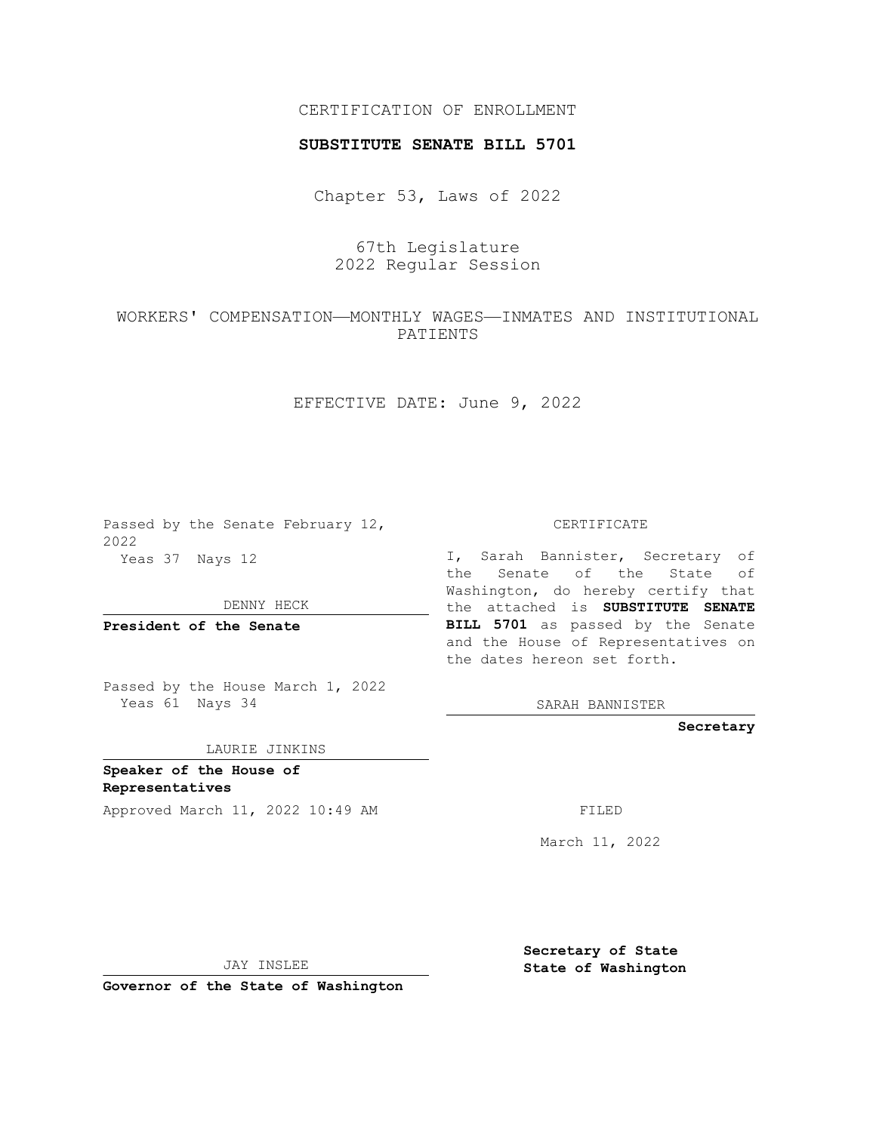## CERTIFICATION OF ENROLLMENT

### **SUBSTITUTE SENATE BILL 5701**

Chapter 53, Laws of 2022

# 67th Legislature 2022 Regular Session

## WORKERS' COMPENSATION—MONTHLY WAGES—INMATES AND INSTITUTIONAL PATIENTS

EFFECTIVE DATE: June 9, 2022

Passed by the Senate February 12, 2022 Yeas 37 Nays 12

DENNY HECK

**President of the Senate**

Passed by the House March 1, 2022 Yeas 61 Nays 34

#### LAURIE JINKINS

**Speaker of the House of Representatives**

Approved March 11, 2022 10:49 AM FILED

CERTIFICATE

I, Sarah Bannister, Secretary of the Senate of the State of Washington, do hereby certify that the attached is **SUBSTITUTE SENATE BILL 5701** as passed by the Senate and the House of Representatives on the dates hereon set forth.

SARAH BANNISTER

**Secretary**

March 11, 2022

JAY INSLEE

**Governor of the State of Washington**

**Secretary of State State of Washington**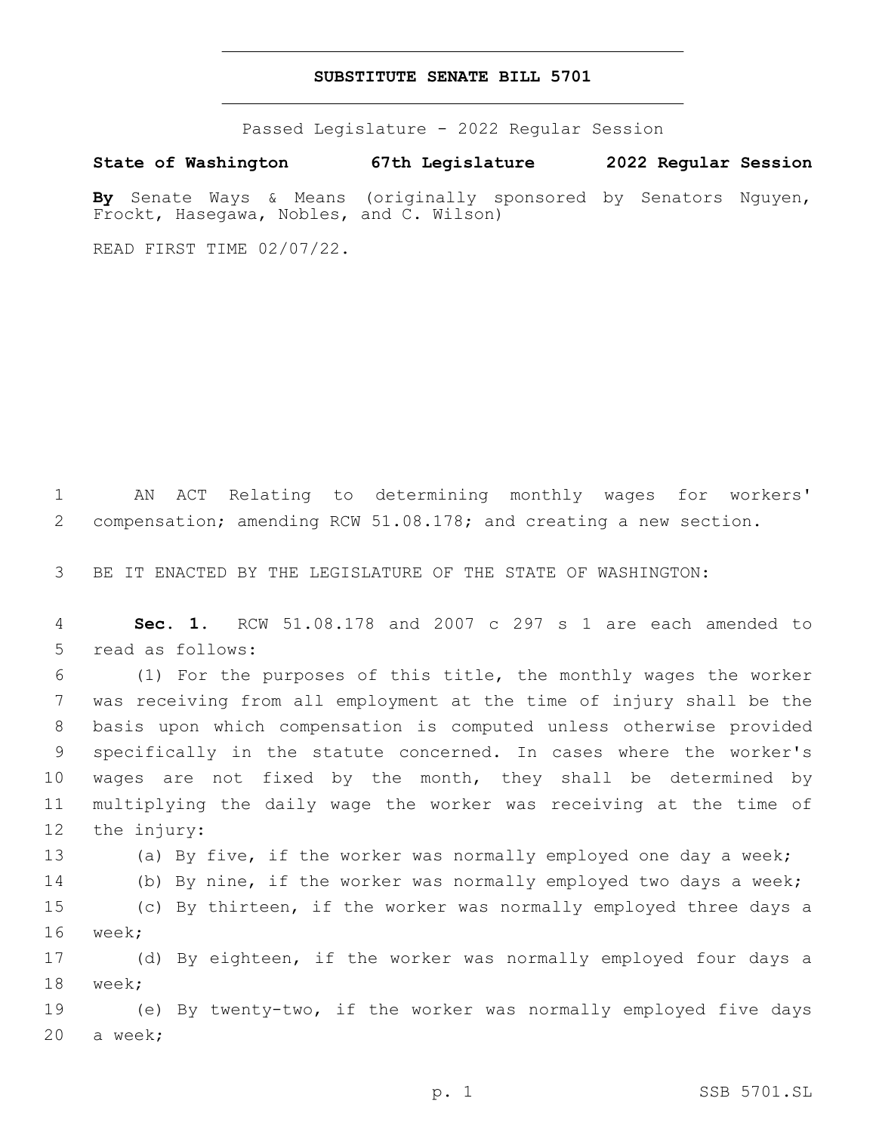### **SUBSTITUTE SENATE BILL 5701**

Passed Legislature - 2022 Regular Session

**State of Washington 67th Legislature 2022 Regular Session By** Senate Ways & Means (originally sponsored by Senators Nguyen,

READ FIRST TIME 02/07/22.

Frockt, Hasegawa, Nobles, and C. Wilson)

1 AN ACT Relating to determining monthly wages for workers' 2 compensation; amending RCW 51.08.178; and creating a new section.

3 BE IT ENACTED BY THE LEGISLATURE OF THE STATE OF WASHINGTON:

4 **Sec. 1.** RCW 51.08.178 and 2007 c 297 s 1 are each amended to 5 read as follows:

 (1) For the purposes of this title, the monthly wages the worker was receiving from all employment at the time of injury shall be the basis upon which compensation is computed unless otherwise provided specifically in the statute concerned. In cases where the worker's wages are not fixed by the month, they shall be determined by multiplying the daily wage the worker was receiving at the time of 12 the injury:

 (a) By five, if the worker was normally employed one day a week; (b) By nine, if the worker was normally employed two days a week; (c) By thirteen, if the worker was normally employed three days a 16 week;

17 (d) By eighteen, if the worker was normally employed four days a 18 week;

19 (e) By twenty-two, if the worker was normally employed five days 20 a week;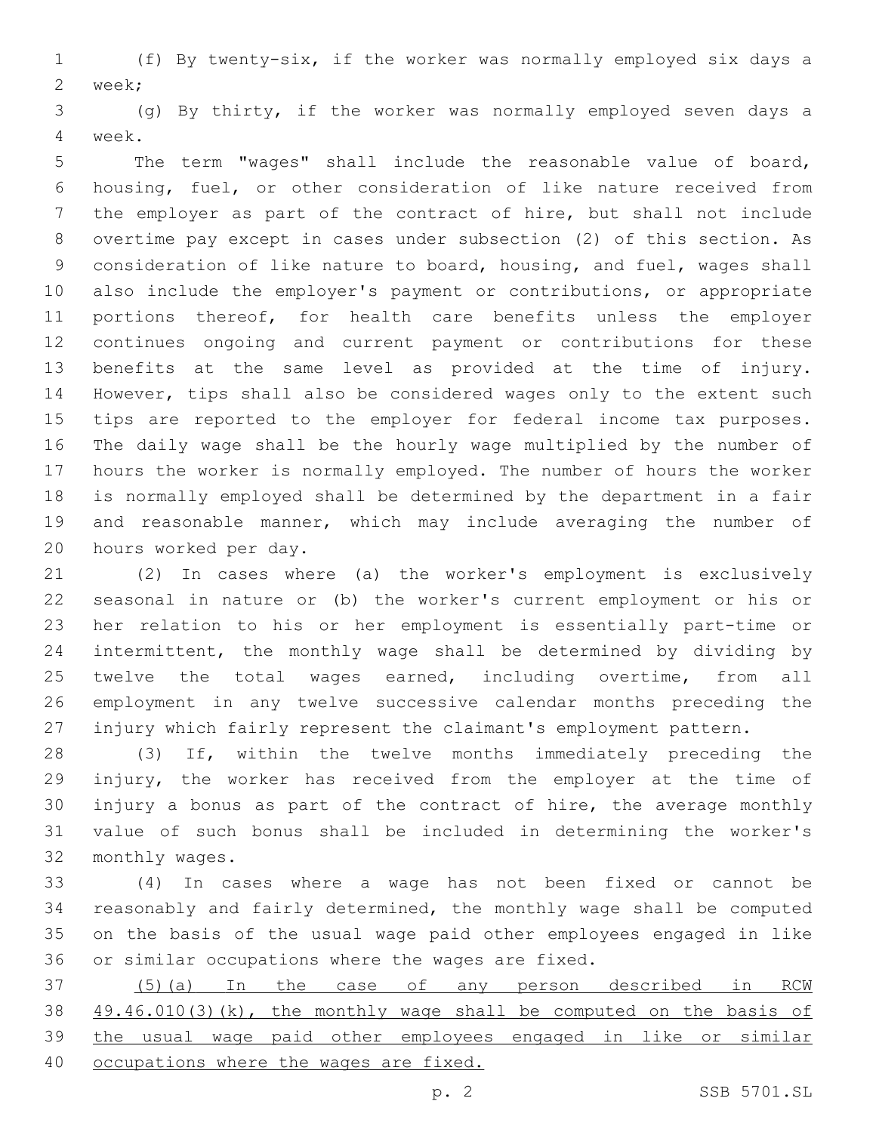(f) By twenty-six, if the worker was normally employed six days a 2 week;

 (g) By thirty, if the worker was normally employed seven days a 4 week.

 The term "wages" shall include the reasonable value of board, housing, fuel, or other consideration of like nature received from the employer as part of the contract of hire, but shall not include overtime pay except in cases under subsection (2) of this section. As consideration of like nature to board, housing, and fuel, wages shall also include the employer's payment or contributions, or appropriate portions thereof, for health care benefits unless the employer continues ongoing and current payment or contributions for these benefits at the same level as provided at the time of injury. However, tips shall also be considered wages only to the extent such tips are reported to the employer for federal income tax purposes. The daily wage shall be the hourly wage multiplied by the number of hours the worker is normally employed. The number of hours the worker is normally employed shall be determined by the department in a fair and reasonable manner, which may include averaging the number of 20 hours worked per day.

 (2) In cases where (a) the worker's employment is exclusively seasonal in nature or (b) the worker's current employment or his or her relation to his or her employment is essentially part-time or intermittent, the monthly wage shall be determined by dividing by twelve the total wages earned, including overtime, from all employment in any twelve successive calendar months preceding the injury which fairly represent the claimant's employment pattern.

 (3) If, within the twelve months immediately preceding the injury, the worker has received from the employer at the time of injury a bonus as part of the contract of hire, the average monthly value of such bonus shall be included in determining the worker's 32 monthly wages.

 (4) In cases where a wage has not been fixed or cannot be reasonably and fairly determined, the monthly wage shall be computed on the basis of the usual wage paid other employees engaged in like 36 or similar occupations where the wages are fixed.

 (5)(a) In the case of any person described in RCW 49.46.010(3)(k), the monthly wage shall be computed on the basis of the usual wage paid other employees engaged in like or similar occupations where the wages are fixed.